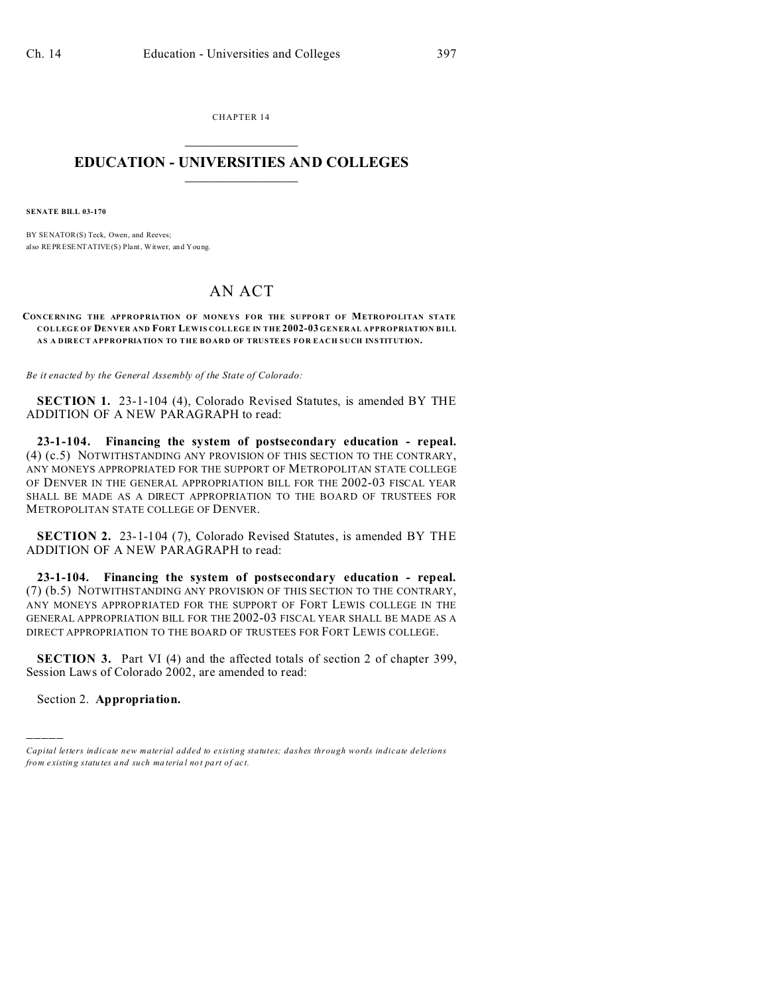CHAPTER 14  $\overline{\phantom{a}}$  , where  $\overline{\phantom{a}}$ 

### **EDUCATION - UNIVERSITIES AND COLLEGES**  $\frac{1}{2}$

**SENATE BILL 03-170**

BY SENATOR(S) Teck, Owen, and Reeves; also REPRESENTATIVE(S) Plant, Witwer, and You ng.

# AN ACT

#### **CON CE RNING THE APPROPRIATION OF MONEYS FOR THE SUPPORT OF METROPOLITAN STATE COLLEGE OF DENVER AND FORT LEWIS COLLEGE IN THE 2002-03 GENERAL APPROPRIATION BILL AS A DIRECT APPROPRIATION TO THE BOARD OF TRUSTEES FOR EACH SUCH INSTITUTION.**

*Be it enacted by the General Assembly of the State of Colorado:*

**SECTION 1.** 23-1-104 (4), Colorado Revised Statutes, is amended BY THE ADDITION OF A NEW PARAGRAPH to read:

**23-1-104. Financing the system of postsecondary education - repeal.** (4) (c.5) NOTWITHSTANDING ANY PROVISION OF THIS SECTION TO THE CONTRARY, ANY MONEYS APPROPRIATED FOR THE SUPPORT OF METROPOLITAN STATE COLLEGE OF DENVER IN THE GENERAL APPROPRIATION BILL FOR THE 2002-03 FISCAL YEAR SHALL BE MADE AS A DIRECT APPROPRIATION TO THE BOARD OF TRUSTEES FOR METROPOLITAN STATE COLLEGE OF DENVER.

**SECTION 2.** 23-1-104 (7), Colorado Revised Statutes, is amended BY THE ADDITION OF A NEW PARAGRAPH to read:

**23-1-104. Financing the system of postsecondary education - repeal.** (7) (b.5) NOTWITHSTANDING ANY PROVISION OF THIS SECTION TO THE CONTRARY, ANY MONEYS APPROPRIATED FOR THE SUPPORT OF FORT LEWIS COLLEGE IN THE GENERAL APPROPRIATION BILL FOR THE 2002-03 FISCAL YEAR SHALL BE MADE AS A DIRECT APPROPRIATION TO THE BOARD OF TRUSTEES FOR FORT LEWIS COLLEGE.

**SECTION 3.** Part VI (4) and the affected totals of section 2 of chapter 399, Session Laws of Colorado 2002, are amended to read:

Section 2. **Appropriation.**

)))))

*Capital letters indicate new material added to existing statutes; dashes through words indicate deletions from e xistin g statu tes a nd such ma teria l no t pa rt of ac t.*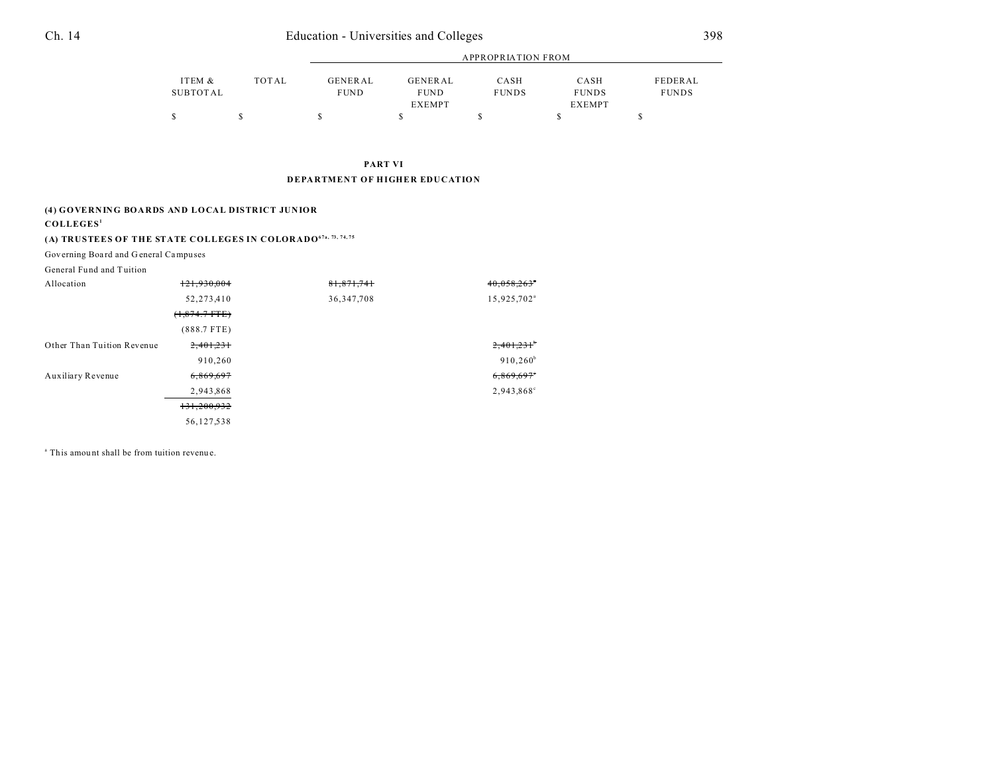# Ch. 14 Education - Universities and Colleges 398

|          |              |                | <b>APPROPRIATION FROM</b> |              |              |              |  |
|----------|--------------|----------------|---------------------------|--------------|--------------|--------------|--|
|          |              |                |                           |              |              |              |  |
| ITEM &   | <b>TOTAL</b> | <b>GENERAL</b> | GENERAL                   | CASH         | CASH         | FEDERAL      |  |
| SUBTOTAL |              | <b>FUND</b>    | <b>FUND</b>               | <b>FUNDS</b> | <b>FUNDS</b> | <b>FUNDS</b> |  |
|          |              |                | <b>EXEMPT</b>             |              | EXEMPT       |              |  |
|          |              |                |                           |              |              |              |  |

#### **PART VI DEPARTMENT OF HIGHER EDUCATION**

#### **(4) GOVERNING BOARDS AND LOCAL DISTRICT JUNIOR**

#### **COLLEGES<sup>1</sup>**

# **(A) TRUSTEES OF THE STATE COLLEGES IN COLORADO67a, 73, 74, 75**

Governing Boa rd and G eneral Campu ses

| General Fund and Tuition   |                 |              |                           |
|----------------------------|-----------------|--------------|---------------------------|
| Allocation                 | 121,930,004     | 81,871,741   | $40,058,263$ <sup>*</sup> |
|                            | 52,273,410      | 36, 347, 708 | 15,925,702 <sup>a</sup>   |
|                            | $(1,874.7$ FTE) |              |                           |
|                            | $(888.7$ FTE)   |              |                           |
| Other Than Tuition Revenue | 2,401,231       |              | 2,401,231                 |
|                            | 910,260         |              | $910,260^{\rm b}$         |
| Auxiliary Revenue          | 6,869,697       |              | 6,869,697                 |
|                            | 2,943,868       |              | 2,943,868°                |
|                            | 131,200,932     |              |                           |
|                            | 56,127,538      |              |                           |

<sup>a</sup> This amount shall be from tuition revenue.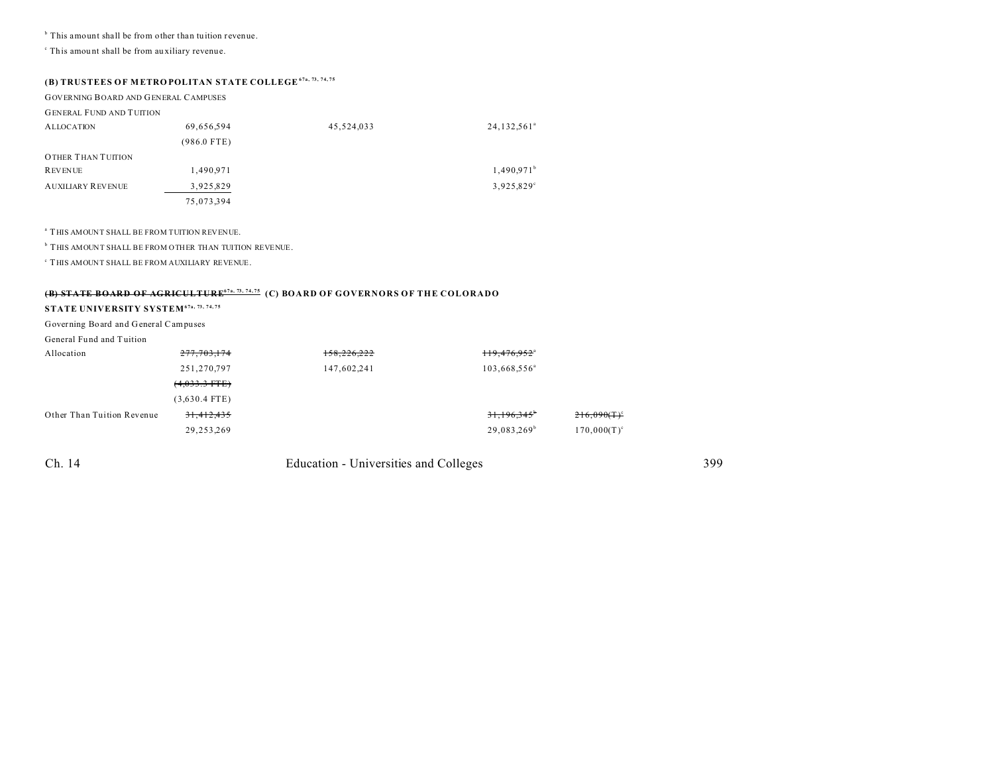<sup>b</sup> This amount shall be from other than tuition revenue.

c This amou nt shall be from au xiliary revenue.

## **(B) TRUSTEES OF M ETRO POLITAN STATE COLLEGE67a, 73, 74, 75**

| <b>GOVERNING BOARD AND GENERAL CAMPUSES</b> |  |
|---------------------------------------------|--|
|---------------------------------------------|--|

| <b>GENERAL FUND AND TUITION</b> |  |  |
|---------------------------------|--|--|

| <b>ALLOCATION</b>        | 69,656,594    | 45,524,033 | 24,132,561 <sup>ª</sup> |
|--------------------------|---------------|------------|-------------------------|
|                          | $(986.0$ FTE) |            |                         |
| OTHER THAN TUITION       |               |            |                         |
| <b>REVENUE</b>           | 1,490.971     |            | 1,490.971 <sup>b</sup>  |
| <b>AUXILIARY REVENUE</b> | 3,925,829     |            | 3,925,829°              |
|                          | 75,073,394    |            |                         |

a THIS AMOUNT SHALL BE FROM TUITION REVENUE.

**b** THIS AMOUNT SHALL BE FROM OTHER THAN TUITION REVENUE.

c THIS AMOUNT SHALL BE FROM AUXILIARY REVENUE.

#### **(B) STATE BOARD OF AGRICULTURE67a, 73, 74, 75 (C) BOARD OF GOVERNORS OF THE COLORADO**

## **STATE UNIVERSITY SYSTEM67a, 73, 74, 75**

Governing Board and General Campuses

#### General Fund and Tuition

| Allocation                 | 277,703,174     | 158,226,222 | 119,476,952 <sup>a</sup> |                |
|----------------------------|-----------------|-------------|--------------------------|----------------|
|                            | 251,270,797     | 147,602,241 | 103,668,556 <sup>a</sup> |                |
|                            | $(4,033.3$ FTE) |             |                          |                |
|                            | $(3,630.4$ FTE) |             |                          |                |
| Other Than Tuition Revenue | 31,412,435      |             | 31,196,345 <sup>b</sup>  | $216,090(T)^c$ |
|                            | 29,253,269      |             | 29,083,269 <sup>b</sup>  | $170,000(T)^c$ |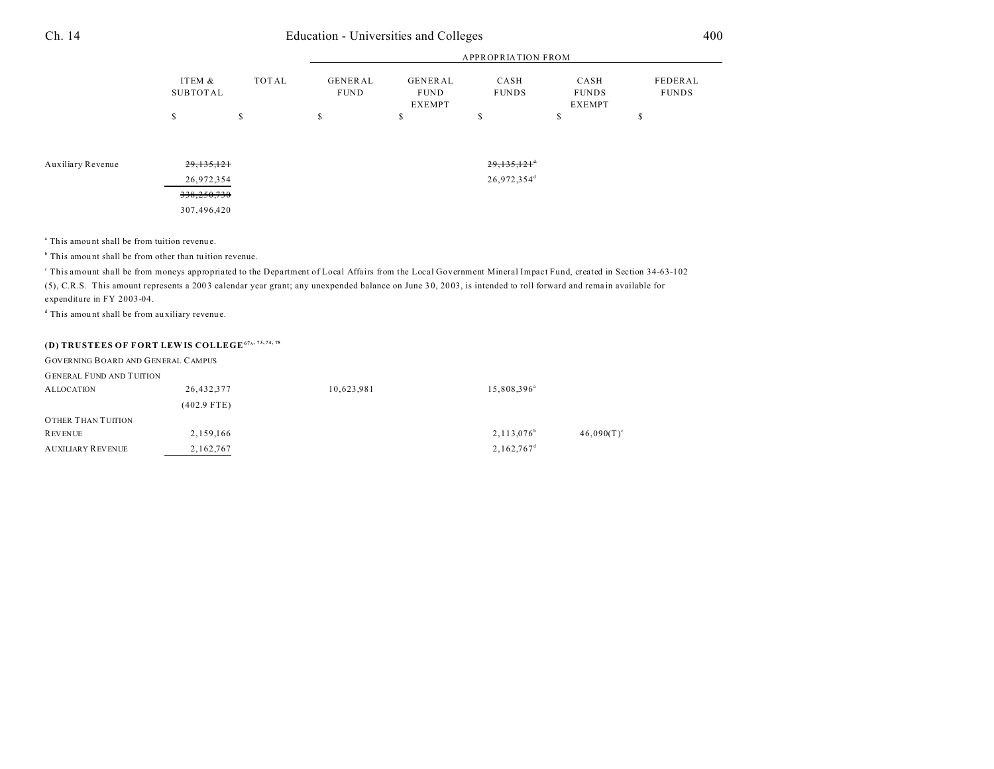| 14 |  |  |  |
|----|--|--|--|
|    |  |  |  |
|    |  |  |  |
|    |  |  |  |

# Ch. 14 Education - Universities and Colleges 400

|          |       |                | APPROPRIATION FROM |              |               |              |  |
|----------|-------|----------------|--------------------|--------------|---------------|--------------|--|
| ITEM &   | TOTAL | <b>GENERAL</b> | GENERAL            | CASH         | CASH          | FEDERAL      |  |
| SUBTOTAL |       | <b>FUND</b>    | <b>FUND</b>        | <b>FUNDS</b> | <b>FUNDS</b>  | <b>FUNDS</b> |  |
|          |       |                | EXEMPT             |              | <b>EXEMPT</b> |              |  |
|          |       |                |                    |              |               |              |  |

Auxiliary Revenue 29,135,121<sup>d</sup> 29,135,121<sup>d</sup> 29,135,121<sup>d</sup> 26,972,354 26,972,354<sup>d</sup> 338,250,730 307,496,420

<sup>a</sup> This amount shall be from tuition revenue.

<sup>b</sup> This amount shall be from other than tuition revenue.

This amount shall be from moneys appropriated to the Department of Local Affairs from the Local Government Mineral Impact Fund, created in Section 34-63-102 (5), C.R.S. This amount represents a 200 3 calendar year grant; any unexpended balance on June 3 0, 20 03, is intended to roll forward and rema in available for

expenditure in FY 2003-04.

d This amou nt shall be from au xiliary revenue.

## **(D) TRUSTEES OF FORT LEWIS COLLEGE<sup>67</sup><sup>A</sup> , 73, 74, 75**

| <b>GOVERNING BOARD AND GENERAL CAMPUS</b> |               |            |                          |               |
|-------------------------------------------|---------------|------------|--------------------------|---------------|
| <b>GENERAL FUND AND TUITION</b>           |               |            |                          |               |
| <b>ALLOCATION</b>                         | 26,432,377    | 10,623,981 | 15,808,396 <sup>a</sup>  |               |
|                                           | $(402.9$ FTE) |            |                          |               |
| OTHER THAN TUITION                        |               |            |                          |               |
| <b>REVENUE</b>                            | 2,159,166     |            | $2,113,076^{\circ}$      | $46,090(T)^c$ |
| <b>AUXILIARY REVENUE</b>                  | 2,162,767     |            | $2,162,767$ <sup>d</sup> |               |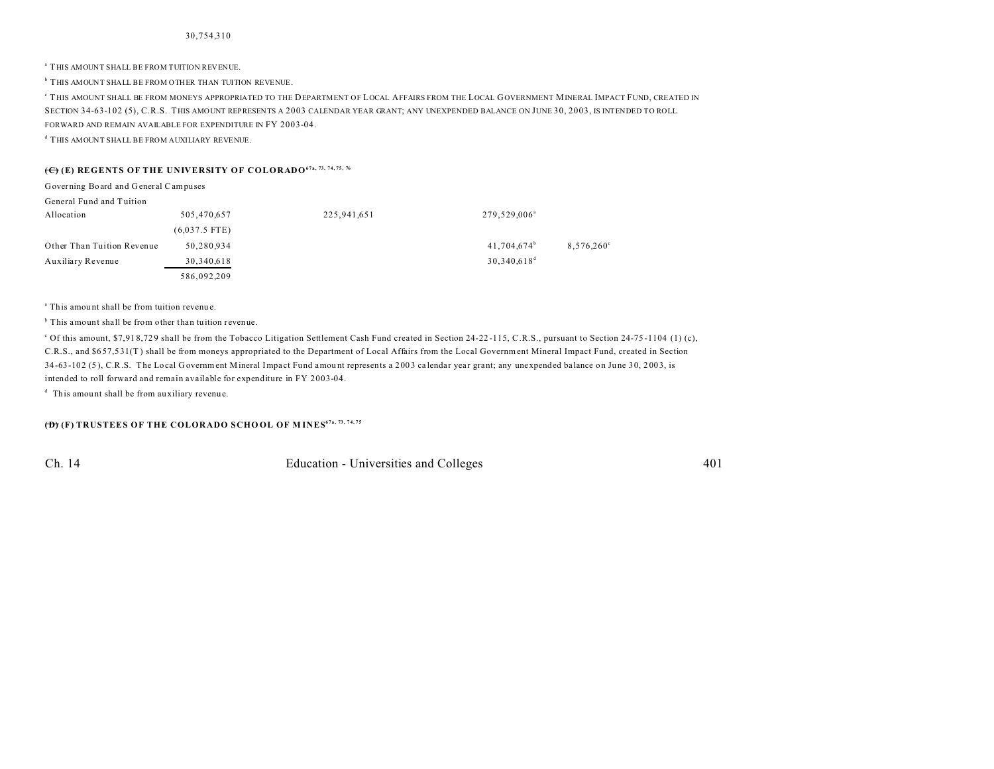a THIS AMOUNT SHALL BE FROM TUITION REVENUE.

**b** THIS AMOUNT SHALL BE FROM OTHER THAN TUITION REVENUE.

c THIS AMOUNT SHALL BE FROM MONEYS APPROPRIATED TO THE DEPARTMENT OF LOCAL AFFAIRS FROM THE LOCAL GOVERNMENT MINERAL IMPACT FUND, CREATED IN SECTION 34-63-102 (5), C.R.S. THIS AMOUNT REPRESENTS A 2003 CALENDAR YEAR GRANT; ANY UNEXPENDED BALANCE ON JUNE 30, 2003, IS INTENDED TO ROLL FORWARD AND REMAIN AVAILABLE FOR EXPENDITURE IN FY 2003-04.

d THIS AMOUNT SHALL BE FROM AUXILIARY REVENUE.

## **(C) (E) REGENTS OF THE UNIVERSITY OF COLORADO67a, 73, 74, 75, 76**

| Governing Board and General Campuses |                 |             |                          |                     |
|--------------------------------------|-----------------|-------------|--------------------------|---------------------|
| General Fund and Tuition             |                 |             |                          |                     |
| Allocation                           | 505,470,657     | 225,941,651 | 279,529,006 <sup>a</sup> |                     |
|                                      | $(6,037.5$ FTE) |             |                          |                     |
| Other Than Tuition Revenue           | 50,280,934      |             | 41,704,674 <sup>b</sup>  | $8,576,260^{\circ}$ |
| Auxiliary Revenue                    | 30,340,618      |             | $30,340,618^d$           |                     |
|                                      | 586.092.209     |             |                          |                     |

<sup>a</sup> This amount shall be from tuition revenue.

<sup>b</sup> This amount shall be from other than tuition revenue.

<sup>c</sup> Of this amount, \$7,918,729 shall be from the Tobacco Litigation Settlement Cash Fund created in Section 24-22-115, C.R.S., pursuant to Section 24-75-1104 (1) (c), C.R.S., and \$6 57,5 31(T ) shall be from moneys appropriated to the Department of Local Affairs from the Local Government Mineral Impact Fund, created in Section 34-63-102 (5), C.R.S. The Local Government Mineral Impact Fund amount represents a 2003 calendar year grant; any unexpended balance on June 30, 2003, is intended to roll forward and remain available for expenditure in FY 2003-04.

<sup>d</sup> This amount shall be from auxiliary revenue.

**(D)** (F) TRUSTEES OF THE COLORADO SCHOOL OF MINES<sup>67a, 73, 74, 75</sub></sup>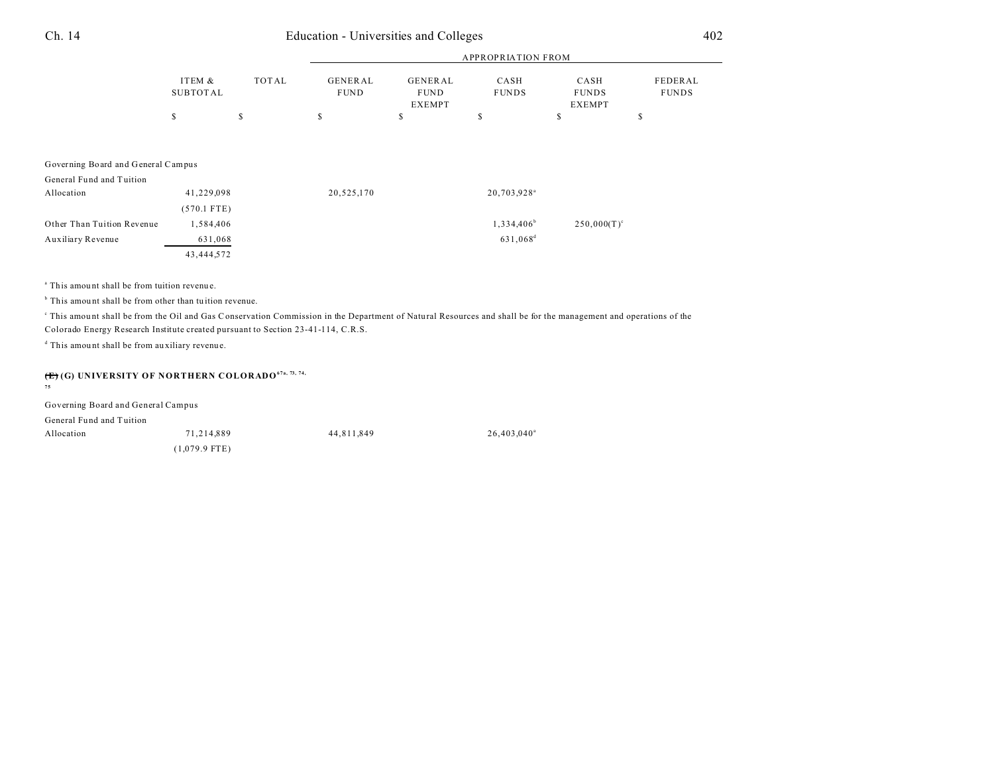# Ch. 14 Education - Universities and Colleges 402

|                                    |                           |              |                               |                                                | <b>APPROPRIATION FROM</b> |                                       |                         |
|------------------------------------|---------------------------|--------------|-------------------------------|------------------------------------------------|---------------------------|---------------------------------------|-------------------------|
|                                    | ITEM &<br><b>SUBTOTAL</b> | <b>TOTAL</b> | <b>GENERAL</b><br><b>FUND</b> | <b>GENERAL</b><br><b>FUND</b><br><b>EXEMPT</b> | CASH<br><b>FUNDS</b>      | CASH<br><b>FUNDS</b><br><b>EXEMPT</b> | FEDERAL<br><b>FUNDS</b> |
|                                    | \$                        | \$           | \$                            | \$                                             | \$                        | S                                     | \$                      |
|                                    |                           |              |                               |                                                |                           |                                       |                         |
|                                    |                           |              |                               |                                                |                           |                                       |                         |
| Governing Board and General Campus |                           |              |                               |                                                |                           |                                       |                         |
| General Fund and Tuition           |                           |              |                               |                                                |                           |                                       |                         |
| Allocation                         | 41,229,098                |              | 20,525,170                    |                                                | 20,703.928 <sup>a</sup>   |                                       |                         |
|                                    | $(570.1$ FTE)             |              |                               |                                                |                           |                                       |                         |
| Other Than Tuition Revenue         | 1,584,406                 |              |                               |                                                | $1,334,406^b$             | $250,000(T)^c$                        |                         |
| Auxiliary Revenue                  | 631,068                   |              |                               |                                                | 631,068 <sup>d</sup>      |                                       |                         |
|                                    | 43,444,572                |              |                               |                                                |                           |                                       |                         |

<sup>a</sup> This amount shall be from tuition revenue.

<sup>b</sup> This amount shall be from other than tuition revenue.

This amount shall be from the Oil and Gas Conservation Commission in the Department of Natural Resources and shall be for the management and operations of the Colorado Energy Research Institute created pursuant to Section 23-41-114, C.R.S.

 $26,403,040$ <sup>a</sup>

d This amou nt shall be from au xiliary revenue.

# **(E) (G) UNIVERSITY OF NORTHERN COLORADO67a, 73, 74, 75**

| Governing Board and General Campus |                 |            |  |
|------------------------------------|-----------------|------------|--|
| General Fund and Tuition           |                 |            |  |
| Allocation                         | 71.214.889      | 44.811.849 |  |
|                                    | $(1,079.9$ FTE) |            |  |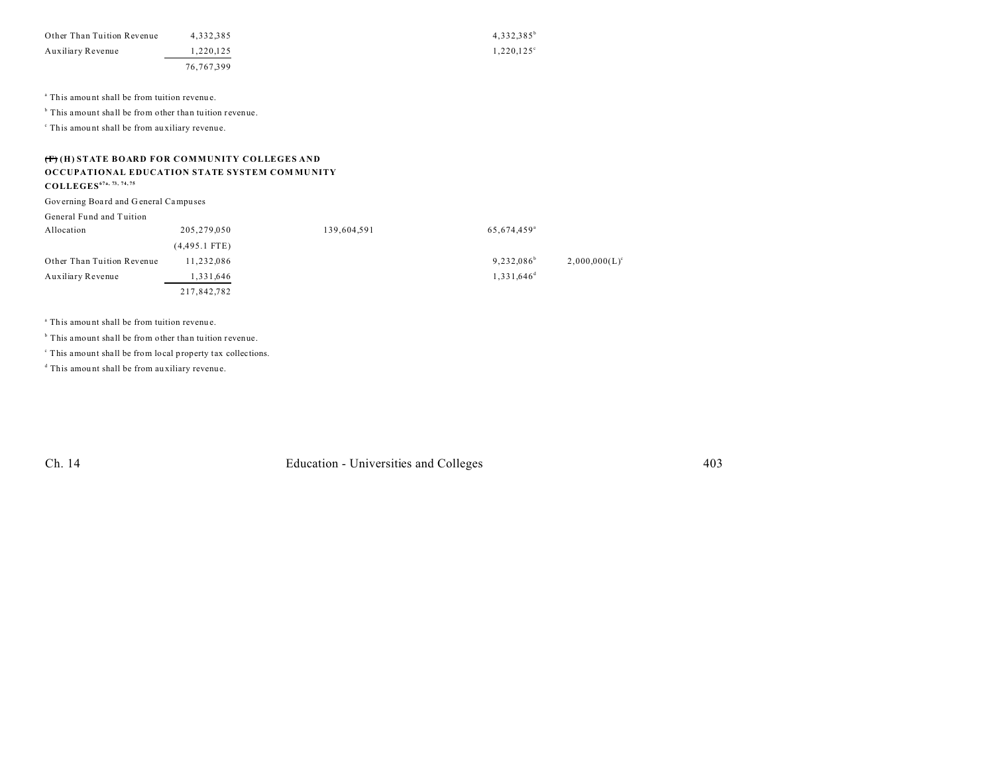| Other Than Tuition Revenue | 4.332.385  | $4.332.385^{\circ}$ |
|----------------------------|------------|---------------------|
| Auxiliary Revenue          | 1.220.125  | $1.220.125^{\circ}$ |
|                            | 76.767.399 |                     |

<sup>a</sup> This amount shall be from tuition revenue.

<sup>b</sup> This amount shall be from other than tuition revenue.

c This amou nt shall be from au xiliary revenue.

## **(F) (H) STATE BOARD FOR COMMUNITY COLLEGES AND OCCUPATIONAL EDUCATION STATE SYSTEM COM MU NITY**

**COLLEGES67a, 73, 74, 75**

Governing Boa rd and G eneral Campu ses

General Fund and Tuition

| Allocation                 | 205,279,050     | 139,604,591 | 65,674,459 <sup>a</sup> |                  |
|----------------------------|-----------------|-------------|-------------------------|------------------|
|                            | $(4,495.1$ FTE) |             |                         |                  |
| Other Than Tuition Revenue | 11,232,086      |             | $9,232,086^{\circ}$     | $2,000,000(L)^c$ |
| Auxiliary Revenue          | 1,331,646       |             | $1.331.646^d$           |                  |
|                            | 217,842,782     |             |                         |                  |

<sup>a</sup> This amount shall be from tuition revenue.

<sup>b</sup> This amount shall be from other than tuition revenue.

c This amount shall be from local property tax collections.

d This amou nt shall be from au xiliary revenue.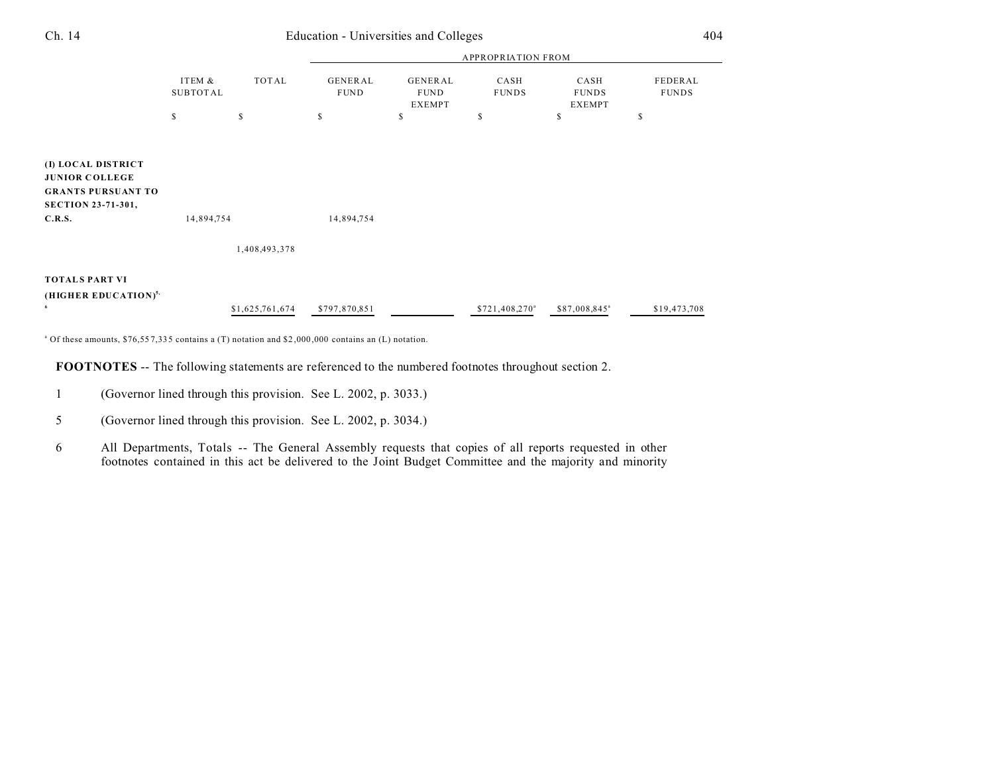| Ch. 14                                                                                                          | Education - Universities and Colleges |                 |                           |                                                |                            |                                       | 404                     |  |
|-----------------------------------------------------------------------------------------------------------------|---------------------------------------|-----------------|---------------------------|------------------------------------------------|----------------------------|---------------------------------------|-------------------------|--|
|                                                                                                                 |                                       |                 | <b>APPROPRIATION FROM</b> |                                                |                            |                                       |                         |  |
|                                                                                                                 | ITEM &<br><b>SUBTOTAL</b>             | TOTAL           | GENERAL<br><b>FUND</b>    | <b>GENERAL</b><br><b>FUND</b><br><b>EXEMPT</b> | CASH<br><b>FUNDS</b>       | CASH<br><b>FUNDS</b><br><b>EXEMPT</b> | FEDERAL<br><b>FUNDS</b> |  |
|                                                                                                                 | \$                                    | \$              | \$                        | S                                              | \$                         | \$                                    | \$                      |  |
| (I) LOCAL DISTRICT<br><b>JUNIOR COLLEGE</b><br><b>GRANTS PURSUANT TO</b><br><b>SECTION 23-71-301,</b><br>C.R.S. | 14,894,754                            |                 | 14,894,754                |                                                |                            |                                       |                         |  |
|                                                                                                                 |                                       | 1,408,493,378   |                           |                                                |                            |                                       |                         |  |
| <b>TOTALS PART VI</b><br>(HIGHER EDUCATION) <sup>5,</sup><br>6                                                  |                                       | \$1,625,761,674 | \$797,870,851             |                                                | \$721,408,270 <sup>a</sup> | \$87,008,845 <sup>a</sup>             | \$19,473,708            |  |

a Of these amounts, \$76,55 7,33 5 contains a (T) notation and \$2 ,000 ,000 contains an (L) notation.

**FOOTNOTES** -- The following statements are referenced to the numbered footnotes throughout section 2.

- 1 (Governor lined through this provision. See L. 2002, p. 3033.)
- 5 (Governor lined through this provision. See L. 2002, p. 3034.)
- 6 All Departments, Totals -- The General Assembly requests that copies of all reports requested in other footnotes contained in this act be delivered to the Joint Budget Committee and the majority and minority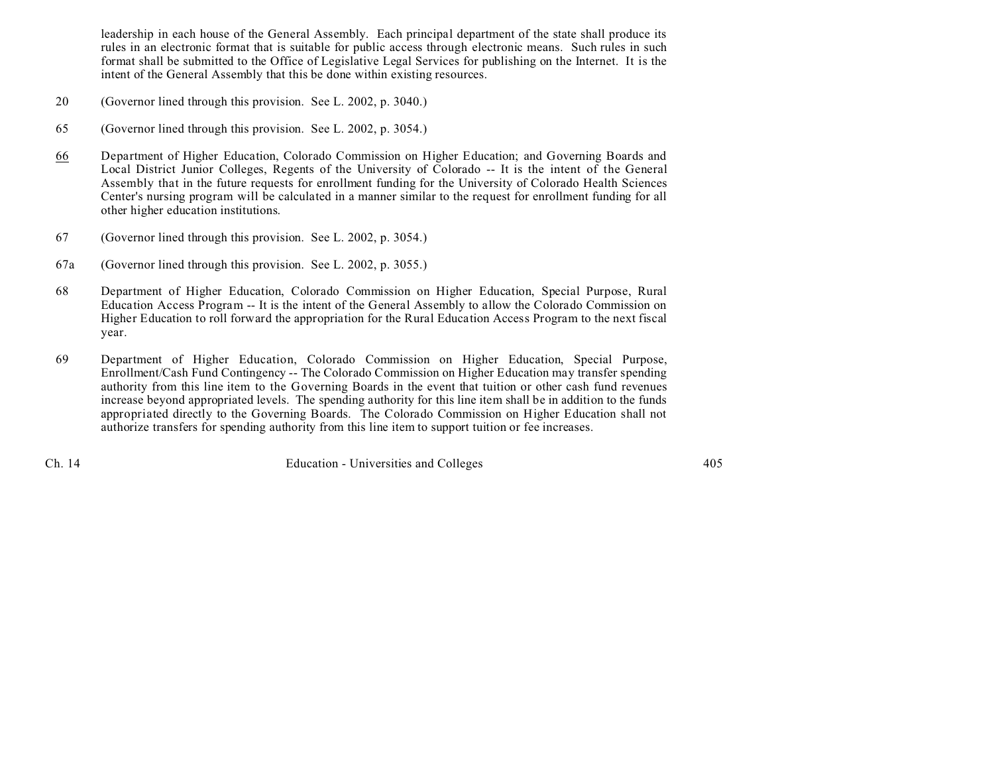leadership in each house of the General Assembly. Each principal department of the state shall produce its rules in an electronic format that is suitable for public access through electronic means. Such rules in such format shall be submitted to the Office of Legislative Legal Services for publishing on the Internet. It is the intent of the General Assembly that this be done within existing resources.

- 20 (Governor lined through this provision. See L. 2002, p. 3040.)
- 65 (Governor lined through this provision. See L. 2002, p. 3054.)
- 66 Department of Higher Education, Colorado Commission on Higher Education; and Governing Boards and Local District Junior Colleges, Regents of the University of Colorado -- It is the intent of the General Assembly that in the future requests for enrollment funding for the University of Colorado Health Sciences Center's nursing program will be calculated in a manner similar to the request for enrollment funding for all other higher education institutions.
- 67 (Governor lined through this provision. See L. 2002, p. 3054.)
- 67a (Governor lined through this provision. See L. 2002, p. 3055.)
- 68 Department of Higher Education, Colorado Commission on Higher Education, Special Purpose, Rural Education Access Program -- It is the intent of the General Assembly to allow the Colorado Commission on Higher Education to roll forward the appropriation for the Rural Education Access Program to the next fiscal year.
- 69 Department of Higher Education, Colorado Commission on Higher Education, Special Purpose, Enrollment/Cash Fund Contingency -- The Colorado Commission on Higher Education may transfer spending authority from this line item to the Governing Boards in the event that tuition or other cash fund revenues increase beyond appropriated levels. The spending authority for this line item shall be in addition to the funds appropriated directly to the Governing Boards. The Colorado Commission on Higher Education shall not authorize transfers for spending authority from this line item to support tuition or fee increases.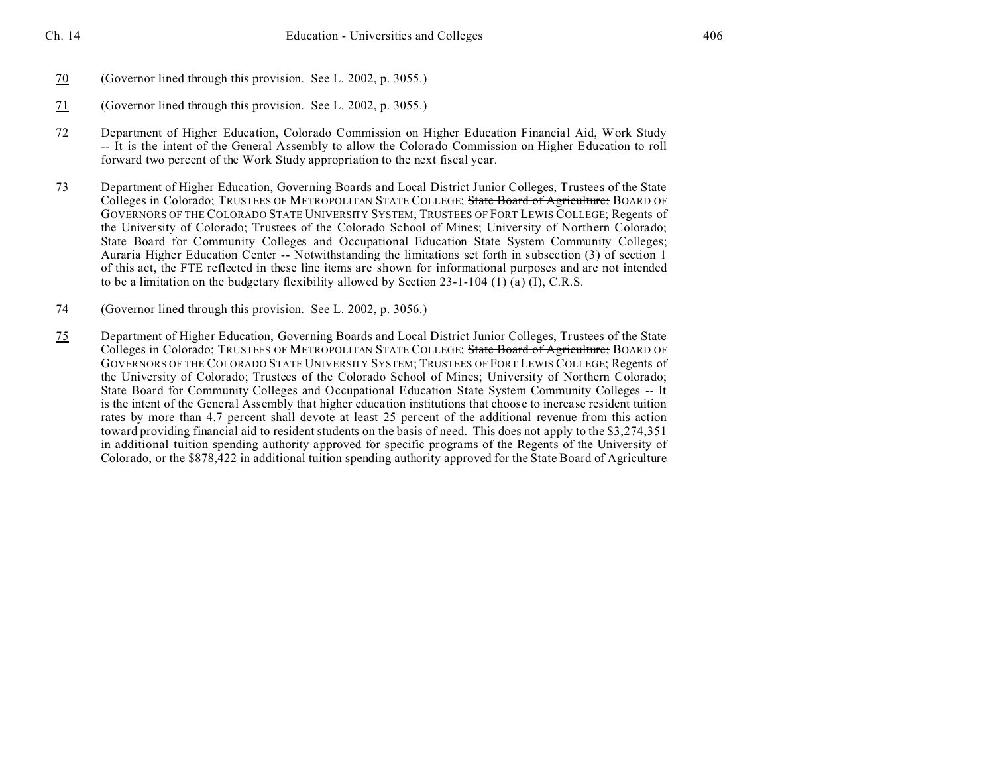- 70 (Governor lined through this provision. See L. 2002, p. 3055.)
- 71 (Governor lined through this provision. See L. 2002, p. 3055.)
- 72 Department of Higher Education, Colorado Commission on Higher Education Financial Aid, Work Study -- It is the intent of the General Assembly to allow the Colorado Commission on Higher Education to roll forward two percent of the Work Study appropriation to the next fiscal year.
- 73 Department of Higher Education, Governing Boards and Local District Junior Colleges, Trustees of the State Colleges in Colorado; TRUSTEES OF METROPOLITAN STATE COLLEGE; State Board of Agriculture; BOARD OF GOVERNORS OF THE COLORADO STATE UNIVERSITY SYSTEM; TRUSTEES OF FORT LEWIS COLLEGE; Regents of the University of Colorado; Trustees of the Colorado School of Mines; University of Northern Colorado; State Board for Community Colleges and Occupational Education State System Community Colleges; Auraria Higher Education Center -- Notwithstanding the limitations set forth in subsection (3) of section 1 of this act, the FTE reflected in these line items are shown for informational purposes and are not intended to be a limitation on the budgetary flexibility allowed by Section 23-1-104 (1) (a) (I), C.R.S.
- 74 (Governor lined through this provision. See L. 2002, p. 3056.)
- 75 Department of Higher Education, Governing Boards and Local District Junior Colleges, Trustees of the State Colleges in Colorado; TRUSTEES OF METROPOLITAN STATE COLLEGE; State Board of Agriculture; BOARD OF GOVERNORS OF THE COLORADO STATE UNIVERSITY SYSTEM; TRUSTEES OF FORT LEWIS COLLEGE; Regents of the University of Colorado; Trustees of the Colorado School of Mines; University of Northern Colorado; State Board for Community Colleges and Occupational Education State System Community Colleges -- It is the intent of the General Assembly that higher education institutions that choose to increase resident tuition rates by more than 4.7 percent shall devote at least 25 percent of the additional revenue from this action toward providing financial aid to resident students on the basis of need. This does not apply to the \$3,274,351 in additional tuition spending authority approved for specific programs of the Regents of the University of Colorado, or the \$878,422 in additional tuition spending authority approved for the State Board of Agriculture